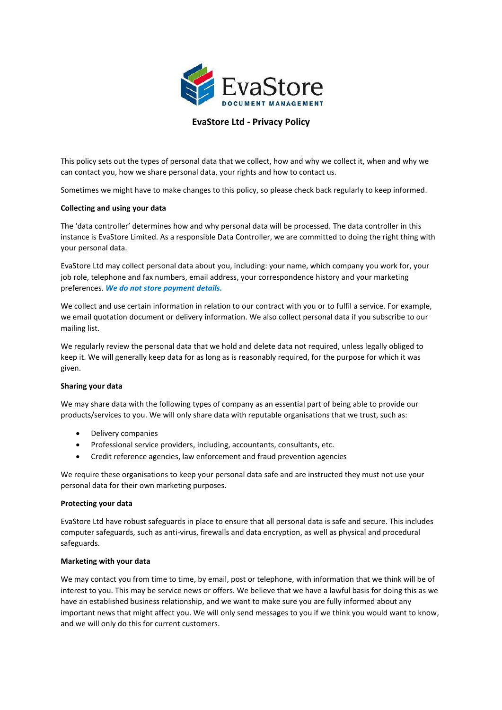

# **EvaStore Ltd - Privacy Policy**

This policy sets out the types of personal data that we collect, how and why we collect it, when and why we can contact you, how we share personal data, your rights and how to contact us.

Sometimes we might have to make changes to this policy, so please check back regularly to keep informed.

# **Collecting and using your data**

The 'data controller' determines how and why personal data will be processed. The data controller in this instance is EvaStore Limited. As a responsible Data Controller, we are committed to doing the right thing with your personal data.

EvaStore Ltd may collect personal data about you, including: your name, which company you work for, your job role, telephone and fax numbers, email address, your correspondence history and your marketing preferences. *We do not store payment details.*

We collect and use certain information in relation to our contract with you or to fulfil a service. For example, we email quotation document or delivery information. We also collect personal data if you subscribe to our mailing list.

We regularly review the personal data that we hold and delete data not required, unless legally obliged to keep it. We will generally keep data for as long as is reasonably required, for the purpose for which it was given.

# **Sharing your data**

We may share data with the following types of company as an essential part of being able to provide our products/services to you. We will only share data with reputable organisations that we trust, such as:

- Delivery companies
- Professional service providers, including, accountants, consultants, etc.
- Credit reference agencies, law enforcement and fraud prevention agencies

We require these organisations to keep your personal data safe and are instructed they must not use your personal data for their own marketing purposes.

# **Protecting your data**

EvaStore Ltd have robust safeguards in place to ensure that all personal data is safe and secure. This includes computer safeguards, such as anti-virus, firewalls and data encryption, as well as physical and procedural safeguards.

# **Marketing with your data**

We may contact you from time to time, by email, post or telephone, with information that we think will be of interest to you. This may be service news or offers. We believe that we have a lawful basis for doing this as we have an established business relationship, and we want to make sure you are fully informed about any important news that might affect you. We will only send messages to you if we think you would want to know, and we will only do this for current customers.